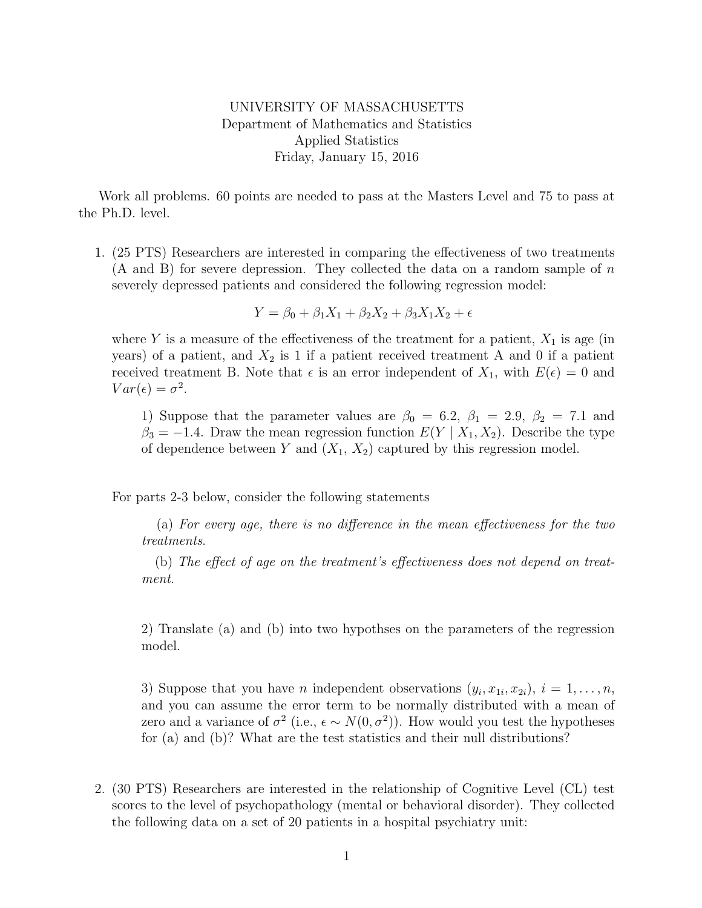## UNIVERSITY OF MASSACHUSETTS Department of Mathematics and Statistics Applied Statistics Friday, January 15, 2016

Work all problems. 60 points are needed to pass at the Masters Level and 75 to pass at the Ph.D. level.

1. (25 PTS) Researchers are interested in comparing the effectiveness of two treatments  $(A \text{ and } B)$  for severe depression. They collected the data on a random sample of n severely depressed patients and considered the following regression model:

$$
Y = \beta_0 + \beta_1 X_1 + \beta_2 X_2 + \beta_3 X_1 X_2 + \epsilon
$$

where Y is a measure of the effectiveness of the treatment for a patient,  $X_1$  is age (in years) of a patient, and  $X_2$  is 1 if a patient received treatment A and 0 if a patient received treatment B. Note that  $\epsilon$  is an error independent of  $X_1$ , with  $E(\epsilon) = 0$  and  $Var(\epsilon) = \sigma^2$ .

1) Suppose that the parameter values are  $\beta_0 = 6.2$ ,  $\beta_1 = 2.9$ ,  $\beta_2 = 7.1$  and  $\beta_3 = -1.4$ . Draw the mean regression function  $E(Y | X_1, X_2)$ . Describe the type of dependence between Y and  $(X_1, X_2)$  captured by this regression model.

For parts 2-3 below, consider the following statements

(a) For every age, there is no difference in the mean effectiveness for the two treatments.

(b) The effect of age on the treatment's effectiveness does not depend on treatment.

2) Translate (a) and (b) into two hypothses on the parameters of the regression model.

3) Suppose that you have *n* independent observations  $(y_i, x_{1i}, x_{2i}), i = 1, \ldots, n$ , and you can assume the error term to be normally distributed with a mean of zero and a variance of  $\sigma^2$  (i.e.,  $\epsilon \sim N(0, \sigma^2)$ ). How would you test the hypotheses for (a) and (b)? What are the test statistics and their null distributions?

2. (30 PTS) Researchers are interested in the relationship of Cognitive Level (CL) test scores to the level of psychopathology (mental or behavioral disorder). They collected the following data on a set of 20 patients in a hospital psychiatry unit: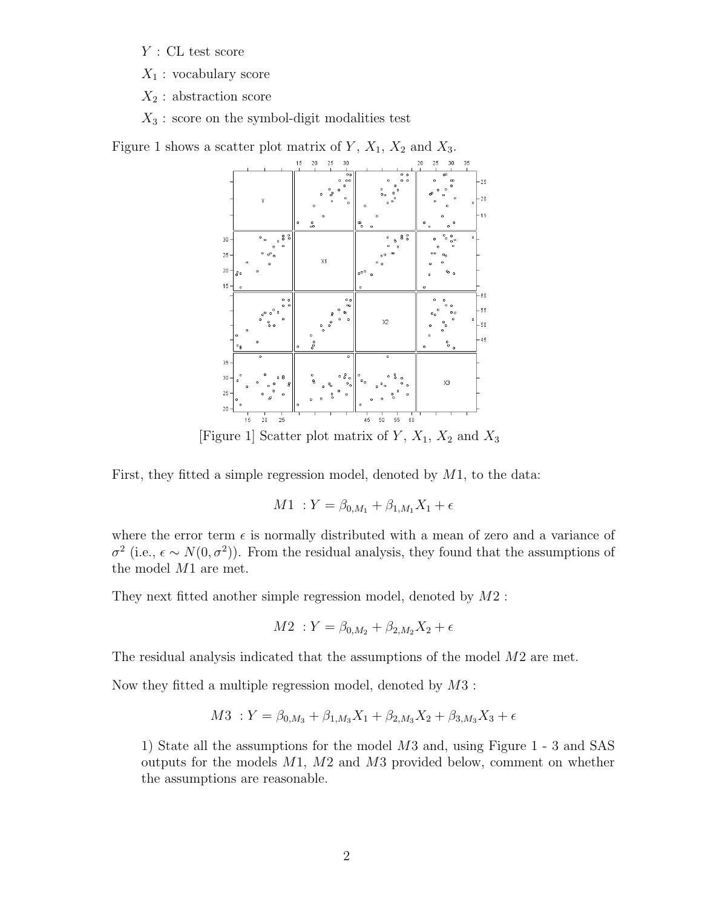$Y$ : CL test score

 $X_1$ : vocabulary score

 $X_2$ : abstraction score

 $X_3$ : score on the symbol-digit modalities test

Figure 1 shows a scatter plot matrix of  $Y$ ,  $X_1$ ,  $X_2$  and  $X_3$ .



[Figure 1] Scatter plot matrix of  $Y$ ,  $X_1$ ,  $X_2$  and  $X_3$ 

First, they fitted a simple regression model, denoted by  $M1$ , to the data:

$$
M1 : Y = \beta_{0,M_1} + \beta_{1,M_1} X_1 + \epsilon
$$

where the error term  $\epsilon$  is normally distributed with a mean of zero and a variance of  $\sigma^2$  (i.e.,  $\epsilon \sim N(0, \sigma^2)$ ). From the residual analysis, they found that the assumptions of the model M1 are met.

They next fitted another simple regression model, denoted by M2 :

$$
M2 \; : Y = \beta_{0,M_2} + \beta_{2,M_2} X_2 + \epsilon
$$

The residual analysis indicated that the assumptions of the model M2 are met.

Now they fitted a multiple regression model, denoted by M3 :

$$
M3:Y = \beta_{0,M_3} + \beta_{1,M_3}X_1 + \beta_{2,M_3}X_2 + \beta_{3,M_3}X_3 + \epsilon
$$

1) State all the assumptions for the model M3 and, using Figure 1 - 3 and SAS outputs for the models M1, M2 and M3 provided below, comment on whether the assumptions are reasonable.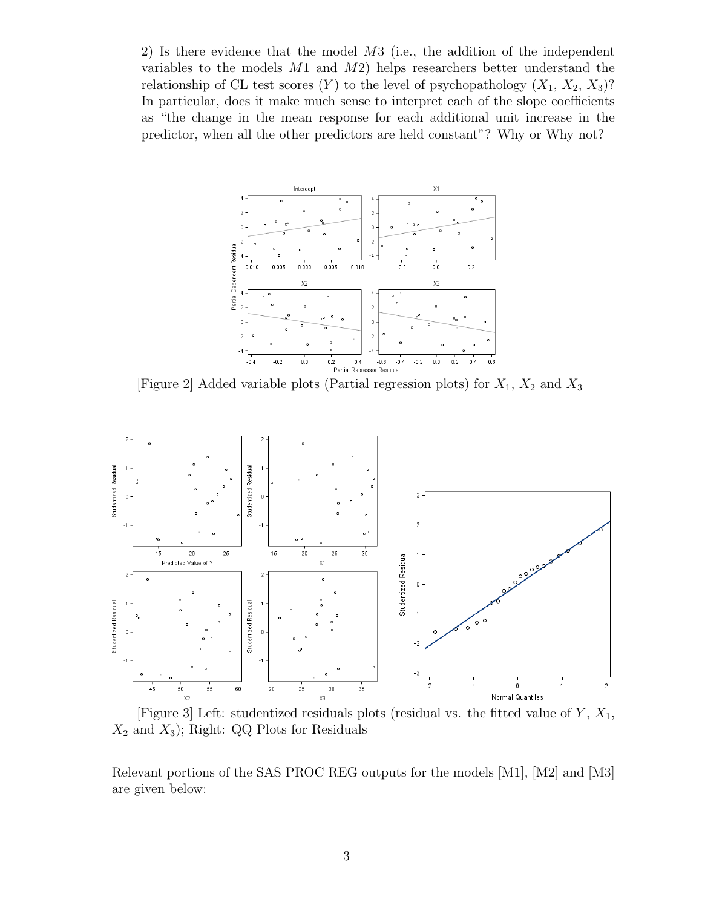2) Is there evidence that the model M3 (i.e., the addition of the independent variables to the models M1 and M2) helps researchers better understand the relationship of CL test scores  $(Y)$  to the level of psychopathology  $(X_1, X_2, X_3)$ ? In particular, does it make much sense to interpret each of the slope coefficients as "the change in the mean response for each additional unit increase in the predictor, when all the other predictors are held constant"? Why or Why not?



[Figure 2] Added variable plots (Partial regression plots) for  $X_1$ ,  $X_2$  and  $X_3$ 





Relevant portions of the SAS PROC REG outputs for the models [M1], [M2] and [M3] are given below: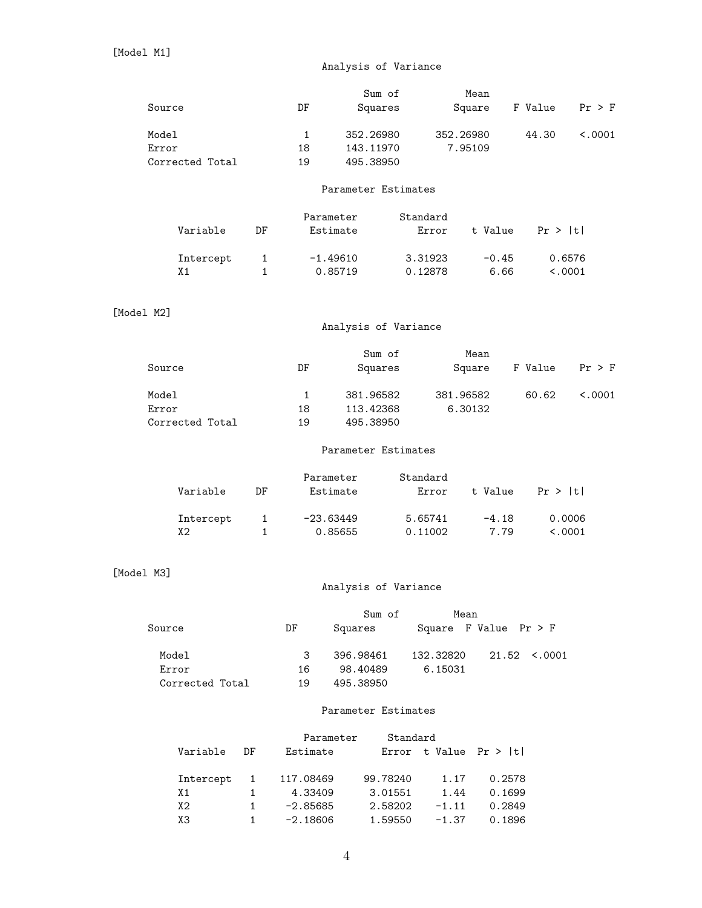## Analysis of Variance

|                 |                     |              |              | Sum of               |           | Mean                    |                   |          |  |
|-----------------|---------------------|--------------|--------------|----------------------|-----------|-------------------------|-------------------|----------|--|
| Source          |                     |              | DF           | Squares              |           | Square                  | F Value           | $Pr$ > F |  |
| Model           |                     |              | $\mathbf{1}$ | 352.26980            |           | 352.26980               | 44.30             | < .0001  |  |
| Error           |                     |              | 18           | 143.11970            |           | 7.95109                 |                   |          |  |
|                 | Corrected Total     |              | 19           | 495.38950            |           |                         |                   |          |  |
|                 |                     |              |              |                      |           |                         |                   |          |  |
|                 | Parameter Estimates |              |              |                      |           |                         |                   |          |  |
|                 |                     |              | Parameter    |                      | Standard  |                         |                   |          |  |
|                 | Variable            | DF           |              | Estimate             | Error     | t Value                 | Pr >  t           |          |  |
|                 | Intercept           | 1            |              | $-1.49610$           | 3.31923   | $-0.45$                 | 0.6576            |          |  |
|                 | X1                  | $\mathbf{1}$ |              | 0.85719              | 0.12878   | 6.66                    | < .0001           |          |  |
|                 |                     |              |              |                      |           |                         |                   |          |  |
| [Model M2]      |                     |              |              |                      |           |                         |                   |          |  |
|                 |                     |              |              | Analysis of Variance |           |                         |                   |          |  |
|                 |                     |              |              | Sum of               |           | Mean                    |                   |          |  |
| Source          |                     |              | DF           | Squares              |           | Square                  | F Value           | $Pr$ > F |  |
|                 |                     |              |              |                      |           |                         |                   |          |  |
| Model           |                     |              | $\mathbf{1}$ | 381.96582            |           | 381.96582               | 60.62             | < .0001  |  |
| Error           |                     |              | 18           | 113.42368            |           | 6.30132                 |                   |          |  |
|                 | Corrected Total     |              | 19           | 495.38950            |           |                         |                   |          |  |
|                 | Parameter Estimates |              |              |                      |           |                         |                   |          |  |
|                 |                     |              |              |                      |           |                         |                   |          |  |
|                 |                     |              |              | Parameter            | Standard  |                         |                   |          |  |
|                 | Variable            | DF           |              | Estimate             | Error     | t Value                 | Pr >  t           |          |  |
|                 | Intercept           | 1            |              | $-23.63449$          | 5.65741   | $-4.18$                 | 0.0006            |          |  |
|                 | X2                  | $\mathbf{1}$ |              | 0.85655              | 0.11002   | 7.79                    | < .0001           |          |  |
|                 |                     |              |              |                      |           |                         |                   |          |  |
| [Model M3]      |                     |              |              |                      |           |                         |                   |          |  |
|                 |                     |              |              | Analysis of Variance |           |                         |                   |          |  |
|                 |                     |              |              |                      |           |                         |                   |          |  |
|                 |                     |              |              | Sum of               |           | Mean                    |                   |          |  |
| Source          |                     |              | DF           | Squares              |           | Square F Value $Pr > F$ |                   |          |  |
|                 | Model               |              | 3            | 396.98461            | 132.32820 |                         | $21.52 \div 0001$ |          |  |
| Error           |                     |              | 16           | 98.40489             | 6.15031   |                         |                   |          |  |
| Corrected Total |                     |              | 19           | 495.38950            |           |                         |                   |          |  |
|                 |                     |              |              |                      |           |                         |                   |          |  |
|                 | Parameter Estimates |              |              |                      |           |                         |                   |          |  |
|                 |                     |              |              |                      |           |                         |                   |          |  |

|           |    | Parameter  | Standard |         |                          |
|-----------|----|------------|----------|---------|--------------------------|
| Variable  | DE | Estimate   |          |         | Error t Value $Pr >  t $ |
| Intercept | 1  | 117.08469  | 99.78240 | 1.17    | 0.2578                   |
| X1        |    | 4.33409    | 3.01551  | 1.44    | 0.1699                   |
| X2        |    | $-2.85685$ | 2.58202  | $-1.11$ | 0.2849                   |
| X3        |    | $-2.18606$ | 1.59550  | $-1.37$ | 0.1896                   |
|           |    |            |          |         |                          |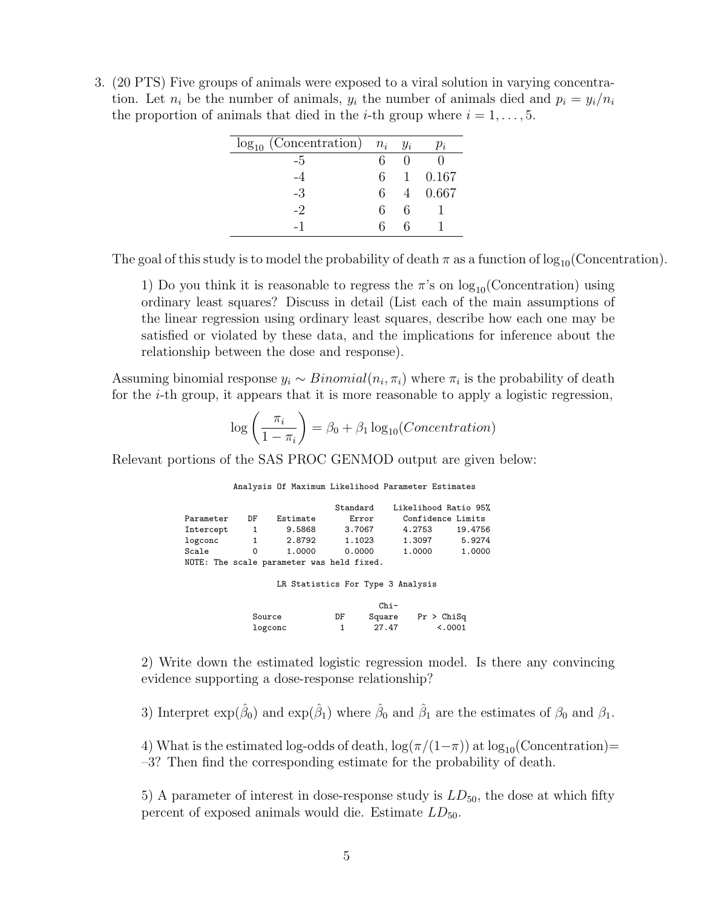3. (20 PTS) Five groups of animals were exposed to a viral solution in varying concentration. Let  $n_i$  be the number of animals,  $y_i$  the number of animals died and  $p_i = y_i/n_i$ the proportion of animals that died in the *i*-th group where  $i = 1, \ldots, 5$ .

| $log_{10}$ (Concentration) $n_i$ $y_i$ |    |              | $p_i$   |
|----------------------------------------|----|--------------|---------|
| -5                                     | 6  |              |         |
| -4                                     | 6. | $\mathbf{1}$ | 0.167   |
| -3                                     | 6. |              | 4 0.667 |
| $-2$                                   | 6. | 6            |         |
|                                        | 6  |              |         |

The goal of this study is to model the probability of death  $\pi$  as a function of log<sub>10</sub>(Concentration).

1) Do you think it is reasonable to regress the  $\pi$ 's on  $\log_{10}(\text{Concentration})$  using ordinary least squares? Discuss in detail (List each of the main assumptions of the linear regression using ordinary least squares, describe how each one may be satisfied or violated by these data, and the implications for inference about the relationship between the dose and response).

Assuming binomial response  $y_i \sim Binomial(n_i, \pi_i)$  where  $\pi_i$  is the probability of death for the *i*-th group, it appears that it is more reasonable to apply a logistic regression,

$$
\log\left(\frac{\pi_i}{1-\pi_i}\right) = \beta_0 + \beta_1 \log_{10}(Concentration)
$$

Relevant portions of the SAS PROC GENMOD output are given below:

Analysis Of Maximum Likelihood Parameter Estimates

|                                   |                        | Standard | Likelihood Ratio 95%                      |         |  |
|-----------------------------------|------------------------|----------|-------------------------------------------|---------|--|
| DF                                | Estimate               | Error    | Confidence Limits                         |         |  |
| 1                                 | 9.5868                 | 3.7067   | 4.2753                                    | 19.4756 |  |
| 1                                 | 2.8792                 | 1.1023   | 1.3097                                    | 5.9274  |  |
| 0                                 | 1.0000                 | 0.0000   | 1,0000                                    | 1.0000  |  |
|                                   |                        |          |                                           |         |  |
|                                   |                        |          |                                           |         |  |
| LR Statistics For Type 3 Analysis |                        |          |                                           |         |  |
|                                   | Parameter<br>Intercept |          | NOTE: The scale parameter was held fixed. |         |  |

|         | $Chi-$ |        |            |  |
|---------|--------|--------|------------|--|
| Source  | DF     | Square | Pr > Chisq |  |
| logconc |        | 27.47  | < 0.0001   |  |

2) Write down the estimated logistic regression model. Is there any convincing evidence supporting a dose-response relationship?

3) Interpret  $\exp(\hat{\beta}_0)$  and  $\exp(\hat{\beta}_1)$  where  $\hat{\beta}_0$  and  $\hat{\beta}_1$  are the estimates of  $\beta_0$  and  $\beta_1$ .

4) What is the estimated log-odds of death,  $\log(\pi/(1-\pi))$  at  $\log_{10}(\text{Concentration})=$ –3? Then find the corresponding estimate for the probability of death.

5) A parameter of interest in dose-response study is  $LD_{50}$ , the dose at which fifty percent of exposed animals would die. Estimate  $LD_{50}$ .